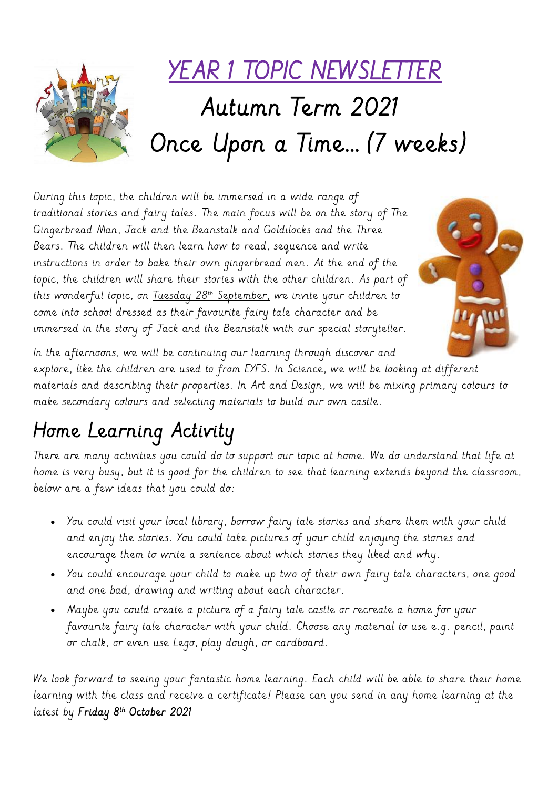

During this topic, the children will be immersed in a wide range of traditional stories and fairy tales. The main focus will be on the story of The Gingerbread Man, Jack and the Beanstalk and Goldilocks and the Three Bears. The children will then learn how to read, sequence and write instructions in order to bake their own gingerbread men. At the end of the topic, the children will share their stories with the other children. As part of this wonderful topic, on Tuesday 28<sup>th</sup> September, we invite your children to come into school dressed as their favourite fairy tale character and be immersed in the story of Jack and the Beanstalk with our special storyteller.



In the afternoons, we will be continuing our learning through discover and explore, like the children are used to from EYFS. In Science, we will be looking at different materials and describing their properties. In Art and Design, we will be mixing primary colours to make secondary colours and selecting materials to build our own castle.

# Home Learning Activity

There are many activities you could do to support our topic at home. We do understand that life at home is very busy, but it is good for the children to see that learning extends beyond the classroom, below are a few ideas that you could do:

- You could visit your local library, borrow fairy tale stories and share them with your child and enjoy the stories. You could take pictures of your child enjoying the stories and encourage them to write a sentence about which stories they liked and why.
- You could encourage your child to make up two of their own fairy tale characters, one good and one bad, drawing and writing about each character.
- Maybe you could create a picture of a fairy tale castle or recreate a home for your favourite fairy tale character with your child. Choose any material to use e.g. pencil, paint or chalk, or even use Lego, play dough, or cardboard.

We look forward to seeing your fantastic home learning. Each child will be able to share their home learning with the class and receive a certificate! Please can you send in any home learning at the latest by Friday 8th October 2021